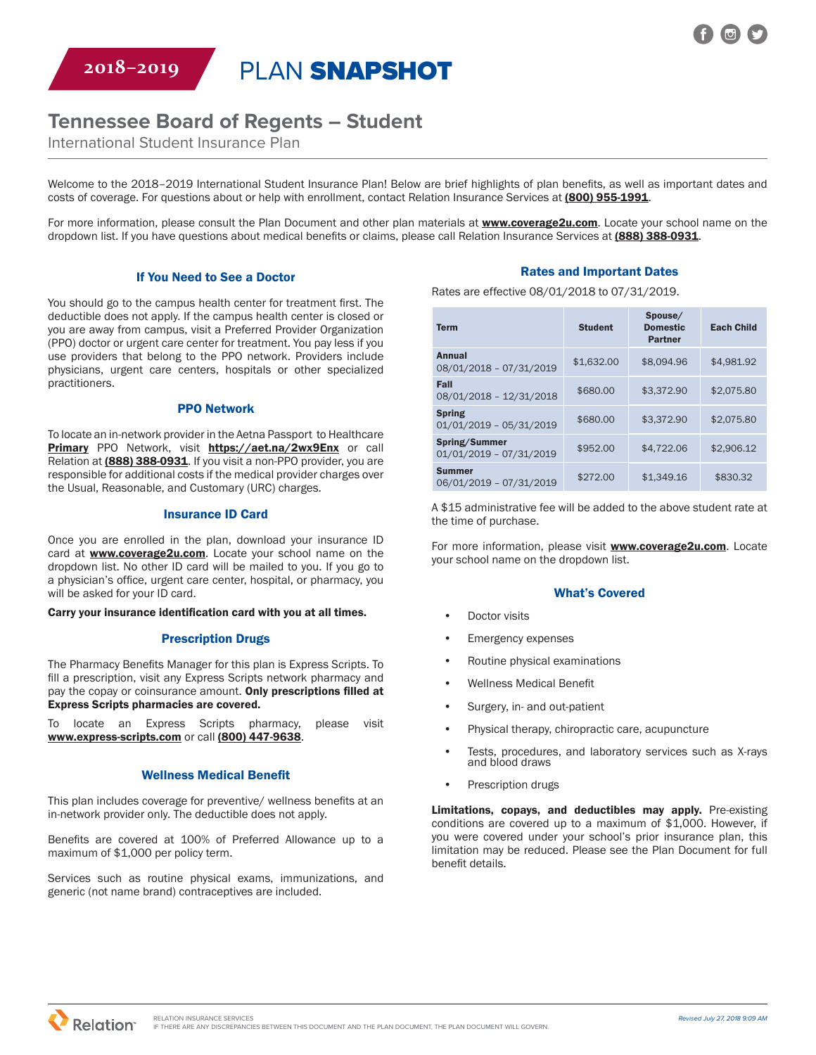**2018–2019** PLAN SNAPSHOT

# **Tennessee Board of Regents – Student**

International Student Insurance Plan

Welcome to the 2018–2019 International Student Insurance Plan! Below are brief highlights of plan benefits, as well as important dates and costs of coverage. For questions about or help with enrollment, contact Relation Insurance Services at (800) 955-1991.

For more information, please consult the Plan Document and other plan materials at **www.coverage2u.com**. Locate your school name on the dropdown list. If you have questions about medical benefits or claims, please call Relation Insurance Services at (888) 388-0931.

#### If You Need to See a Doctor

You should go to the campus health center for treatment first. The deductible does not apply. If the campus health center is closed or you are away from campus, visit a Preferred Provider Organization (PPO) doctor or urgent care center for treatment. You pay less if you use providers that belong to the PPO network. Providers include physicians, urgent care centers, hospitals or other specialized practitioners.

#### PPO Network

To locate an in-network provider in the Aetna Passport to Healthcare Primary PPO Network, visit https://aet.na/2wx9Enx or call Relation at (888) 388-0931. If you visit a non-PPO provider, you are responsible for additional costs if the medical provider charges over the Usual, Reasonable, and Customary (URC) charges.

#### Insurance ID Card

Once you are enrolled in the plan, download your insurance ID card at **www.coverage2u.com**. Locate your school name on the dropdown list. No other ID card will be mailed to you. If you go to a physician's office, urgent care center, hospital, or pharmacy, you will be asked for your ID card.

Carry your insurance identification card with you at all times.

#### Prescription Drugs

The Pharmacy Benefits Manager for this plan is Express Scripts. To fill a prescription, visit any Express Scripts network pharmacy and pay the copay or coinsurance amount. Only prescriptions filled at Express Scripts pharmacies are covered.

To locate an Express Scripts pharmacy, please visit www.express-scripts.com or call (800) 447-9638.

#### Wellness Medical Benefit

This plan includes coverage for preventive/ wellness benefits at an in-network provider only. The deductible does not apply.

Benefits are covered at 100% of Preferred Allowance up to a maximum of \$1,000 per policy term.

Services such as routine physical exams, immunizations, and generic (not name brand) contraceptives are included.

## Rates and Important Dates

Rates are effective 08/01/2018 to 07/31/2019.

| <b>Term</b>                                | <b>Student</b> | Spouse/<br><b>Domestic</b><br><b>Partner</b> | <b>Each Child</b> |
|--------------------------------------------|----------------|----------------------------------------------|-------------------|
| Annual<br>08/01/2018 - 07/31/2019          | \$1,632.00     | \$8.094.96                                   | \$4.981.92        |
| Fall<br>08/01/2018 - 12/31/2018            | \$680.00       | \$3.372.90                                   | \$2,075.80        |
| <b>Spring</b><br>$01/01/2019 - 05/31/2019$ | \$680.00       | \$3.372.90                                   | \$2,075.80        |
| Spring/Summer<br>$01/01/2019 - 07/31/2019$ | \$952.00       | \$4.722.06                                   | \$2.906.12        |
| <b>Summer</b><br>06/01/2019 - 07/31/2019   | \$272.00       | \$1.349.16                                   | \$830.32          |

A \$15 administrative fee will be added to the above student rate at the time of purchase.

For more information, please visit **www.coverage2u.com**. Locate your school name on the dropdown list.

#### What's Covered

- Doctor visits
- **Emergency expenses**
- Routine physical examinations
- Wellness Medical Benefit
- Surgery, in- and out-patient
- Physical therapy, chiropractic care, acupuncture
- Tests, procedures, and laboratory services such as X-rays and blood draws
- Prescription drugs

Limitations, copays, and deductibles may apply. Pre-existing conditions are covered up to a maximum of \$1,000. However, if you were covered under your school's prior insurance plan, this limitation may be reduced. Please see the Plan Document for full benefit details.